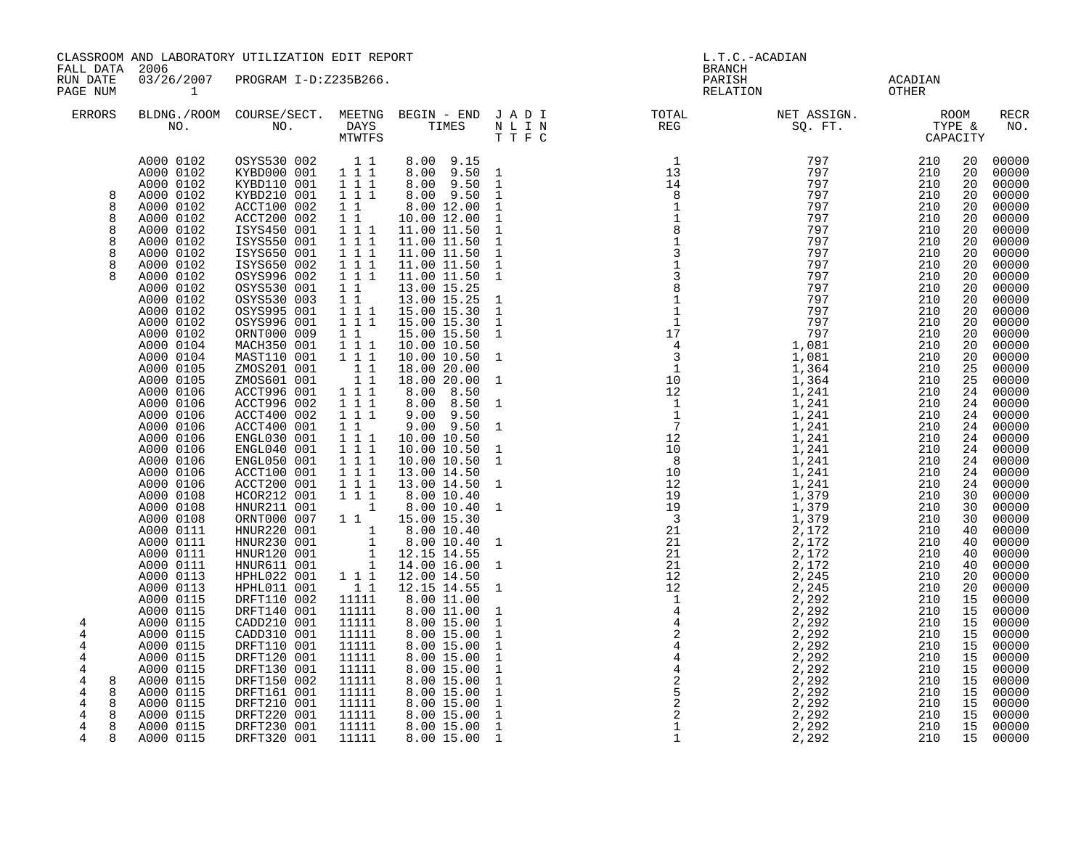| FALL DATA                                                                  | CLASSROOM AND LABORATORY UTILIZATION EDIT REPORT<br>2006                                                                                                                                                                                                                                                                                                                                                                                                                                                                                                                                 |                                                                                                                                                                                                                                                                                                                                                                                                                                                                                                                                                                                                                                                                                                  |                                                                                                                                                                                                                                                                                                                                                                                                                                                                                        |                                                                                                                                                                                                                                                                                                                                                                                                                                                                                                                                                                                                                                                                                                                      |                                                                                                                                                                                                                                                                                                                                                                                                                                        | <b>BRANCH</b>                                                                                                                             | L.T.C.-ACADIAN                                                                                                                                                                                                                                                                                                                                                                                                                                                                                  |                                                                                                                                                                                                                                                                                                                                                                                          |                                                                                                                                                                                                                                                                      |                                                                                                                                                                                                                                                                                                                                                                                                            |
|----------------------------------------------------------------------------|------------------------------------------------------------------------------------------------------------------------------------------------------------------------------------------------------------------------------------------------------------------------------------------------------------------------------------------------------------------------------------------------------------------------------------------------------------------------------------------------------------------------------------------------------------------------------------------|--------------------------------------------------------------------------------------------------------------------------------------------------------------------------------------------------------------------------------------------------------------------------------------------------------------------------------------------------------------------------------------------------------------------------------------------------------------------------------------------------------------------------------------------------------------------------------------------------------------------------------------------------------------------------------------------------|----------------------------------------------------------------------------------------------------------------------------------------------------------------------------------------------------------------------------------------------------------------------------------------------------------------------------------------------------------------------------------------------------------------------------------------------------------------------------------------|----------------------------------------------------------------------------------------------------------------------------------------------------------------------------------------------------------------------------------------------------------------------------------------------------------------------------------------------------------------------------------------------------------------------------------------------------------------------------------------------------------------------------------------------------------------------------------------------------------------------------------------------------------------------------------------------------------------------|----------------------------------------------------------------------------------------------------------------------------------------------------------------------------------------------------------------------------------------------------------------------------------------------------------------------------------------------------------------------------------------------------------------------------------------|-------------------------------------------------------------------------------------------------------------------------------------------|-------------------------------------------------------------------------------------------------------------------------------------------------------------------------------------------------------------------------------------------------------------------------------------------------------------------------------------------------------------------------------------------------------------------------------------------------------------------------------------------------|------------------------------------------------------------------------------------------------------------------------------------------------------------------------------------------------------------------------------------------------------------------------------------------------------------------------------------------------------------------------------------------|----------------------------------------------------------------------------------------------------------------------------------------------------------------------------------------------------------------------------------------------------------------------|------------------------------------------------------------------------------------------------------------------------------------------------------------------------------------------------------------------------------------------------------------------------------------------------------------------------------------------------------------------------------------------------------------|
| RUN DATE<br>PAGE NUM                                                       | 03/26/2007<br>$\sim$ 1                                                                                                                                                                                                                                                                                                                                                                                                                                                                                                                                                                   | PROGRAM I-D:Z235B266.                                                                                                                                                                                                                                                                                                                                                                                                                                                                                                                                                                                                                                                                            |                                                                                                                                                                                                                                                                                                                                                                                                                                                                                        |                                                                                                                                                                                                                                                                                                                                                                                                                                                                                                                                                                                                                                                                                                                      |                                                                                                                                                                                                                                                                                                                                                                                                                                        | PARISH<br>RELATION                                                                                                                        |                                                                                                                                                                                                                                                                                                                                                                                                                                                                                                 | ACADIAN<br>OTHER                                                                                                                                                                                                                                                                                                                                                                         |                                                                                                                                                                                                                                                                      |                                                                                                                                                                                                                                                                                                                                                                                                            |
| <b>ERRORS</b>                                                              |                                                                                                                                                                                                                                                                                                                                                                                                                                                                                                                                                                                          |                                                                                                                                                                                                                                                                                                                                                                                                                                                                                                                                                                                                                                                                                                  | MTWTFS                                                                                                                                                                                                                                                                                                                                                                                                                                                                                 |                                                                                                                                                                                                                                                                                                                                                                                                                                                                                                                                                                                                                                                                                                                      | TTFC                                                                                                                                                                                                                                                                                                                                                                                                                                   |                                                                                                                                           |                                                                                                                                                                                                                                                                                                                                                                                                                                                                                                 |                                                                                                                                                                                                                                                                                                                                                                                          |                                                                                                                                                                                                                                                                      | RECR<br>NO.                                                                                                                                                                                                                                                                                                                                                                                                |
| 8<br>8<br>8<br>8<br>8<br>8<br>8<br>8<br>4<br>4<br>4<br>4                   | A000 0102<br>A000 0102<br>A000 0102<br>A000 0102<br>A000 0102<br>A000 0102<br>A000 0102<br>A000 0102<br>A000 0102<br>A000 0102<br>A000 0102<br>A000 0102<br>A000 0102<br>A000 0102<br>A000 0102<br>A000 0102<br>A000 0104<br>A000 0104<br>A000 0105<br>A000 0105<br>A000 0106<br>A000 0106<br>A000 0106<br>A000 0106<br>A000 0106<br>A000 0106<br>A000 0106<br>A000 0106<br>A000 0106<br>A000 0108<br>A000 0108<br>A000 0108<br>A000 0111<br>A000 0111<br>A000 0111<br>A000 0111<br>A000 0113<br>A000 0113<br>A000 0115<br>A000 0115<br>A000 0115<br>A000 0115<br>A000 0115<br>A000 0115 | OSYS530 002 1 1<br>KYBD000 001 111<br>KYBD110 001<br>KYBD210 001<br>ACCT100 002<br>ACCT200 002<br>ISYS450 001<br>ISYS550 001<br>ISYS650 001<br>ISYS650 002<br>OSYS996 002<br>OSYS530 001<br>OSYS530 003<br>OSYS995 001<br>OSYS996 001<br>ORNT000 009<br>MACH350 001<br>MAST110 001<br>ZMOS201 001<br>ZMOS601 001<br>ACCT996 001<br>ACCT996 002<br>ACCT400 002<br>ACCT400 001<br>ENGL030 001<br>ENGL040 001<br>ENGL050 001<br>ACCT100 001<br>ACCT200 001<br>HCOR212 001<br>HNUR211 001<br>ORNT000 007 1 1<br>HNUR220 001<br>HNUR230 001<br>HNUR120 001<br>HNUR611 001<br>HPHL022 001 111<br>HPHL011 001<br>DRFT110 002<br>DRFT140 001<br>CADD210 001<br>CADD310 001<br>DRFT110 001<br>DRFT120 001 | 111<br>1 1 1<br>$1\quad1$<br>$1\quad1$<br>$1 1 1$<br>$1 1 1$<br>111<br>$\begin{smallmatrix}1&1&1\\1&1&1\end{smallmatrix}$<br>11<br>$\overline{1}$ $\overline{1}$<br>$\overline{1}$ $\overline{1}$ $1$<br>111<br>$1\quad1$<br>111<br>1 1 1<br>$\begin{array}{c} 1\\ 1\\ 1 \end{array}$<br>1 1 1<br>111<br>1 1 1<br>$1\quad1$<br>$1 1 1$<br>111<br>$1 1 1$<br>$1 1 1$<br>1 1 1<br>$1 1 1$<br>$\overline{\phantom{a}}$<br>$1\quad1$<br>11111<br>11111<br>11111<br>11111<br>11111<br>11111 | 8.00 9.15<br>8.00 9.50 1<br>8.00 9.50 1<br>8.00 9.50<br>8.00 12.00<br>10.00 12.00<br>11.00 11.50<br>11.00 11.50<br>11.00 11.50<br>11.00 11.50<br>11.00 11.50<br>13.00 15.25<br>13.00 15.25<br>15.00 15.30<br>15.00 15.30<br>15.00 15.50<br>10.00 10.50<br>10.00 10.50<br>18.00 20.00<br>18.00 20.00<br>8.00 8.50<br>8.00 8.50<br>$9.00$ $9.50$<br>9.00 9.50<br>10.00 10.50<br>10.00 10.50<br>10.00 10.50<br>13.00 14.50<br>13.00 14.50<br>8.00 10.40<br>8.00 10.40<br>15.00 15.30<br>$\begin{array}{rrrr} 1 & 3.00 & 10.40 \ 1 & 8.00 & 10.40 \ 1 & 12.15 & 14.55 \ 1 & 14.00 & 16.00 \end{array}$<br>12.00 14.50<br>12.15 14.55<br>8.00 11.00<br>8.00 11.00<br>8.00 15.00<br>8.00 15.00<br>8.00 15.00<br>8.00 15.00 | $\mathbf{1}$<br>$\mathbf{1}$<br>$\mathbf{1}$<br>$\mathbf{1}$<br>$\mathbf{1}$<br>$\mathbf{1}$<br>$\mathbf{1}$<br>$\mathbf{1}$<br>$\mathbf{1}$<br>$\mathbf{1}$<br>$\mathbf{1}$<br>$\mathbf{1}$<br>$\mathbf{1}$<br>$\mathbf{1}$<br>$\mathbf{1}$<br>$\mathbf{1}$<br>$\mathbf{1}$<br>$\mathbf{1}$<br>1<br>$\mathbf{1}$<br>$\mathbf{1}$<br>$\mathbf{1}$<br>1<br>$\mathbf{1}$<br>$\mathbf{1}$<br>$\mathbf{1}$<br>$\mathbf{1}$<br>$\mathbf{1}$ | $\overline{1}$<br>$\begin{array}{c} 1 \\ 13 \end{array}$<br>$\begin{array}{r} 13 \\ 13 \\ 4 \\ 8 \\ 1 \\ 1 \\ 3 \\ 3 \\ 4 \\ \end{array}$ | 797<br>797<br>797<br>797<br>797<br>797<br>797<br>797<br>797<br>797<br>797<br>797<br>797<br>797<br>797<br>1,081<br>1,081<br>1,364<br>1,364<br>$1,364$<br>$1,241$<br>$1,241$<br>$1,241$<br>$1,241$<br>$1,241$<br>$1,241$<br>$1,241$<br>$1,241$<br>$1,241$<br>$1,241$<br>$1,241$<br>$1,241$<br>$1,241$<br>$1,241$<br>$1,279$<br>$1,279$<br>$1,272$<br>$1,72$<br>$2,172$<br>$2,172$<br>$2,172$<br>$2,245$<br>2,172<br>2,172<br>2,245<br>2,245<br>2,292<br>2,292<br>2,292<br>2,292<br>2,292<br>2,292 | $\begin{array}{cc} 797 & 210 \\ 797 & 210 \\ 797 & 210 \\ 797 & 210 \\ 797 & 210 \\ \end{array}$<br>210<br>210<br>210<br>210<br>210<br>210<br>210<br>210<br>210<br>210<br>210<br>210<br>210<br>210<br>210<br>210<br>210<br>210<br>210<br>210<br>210<br>210<br>210<br>210<br>210<br>210<br>210<br>210<br>210<br>210<br>210<br>210<br>210<br>210<br>210<br>210<br>210<br>210<br>210<br>210 | 20<br>20<br>20<br>20<br>20<br>20<br>20<br>20<br>20<br>20<br>20<br>20<br>20<br>20<br>20<br>20<br>20<br>20<br>25<br>25<br>24<br>24<br>24<br>24<br>24<br>24<br>24<br>24<br>24<br>30<br>30<br>30<br>40<br>40<br>40<br>40<br>20<br>20<br>15<br>15<br>15<br>15<br>15<br>15 | 00000<br>00000<br>00000<br>00000<br>00000<br>00000<br>00000<br>00000<br>00000<br>00000<br>00000<br>00000<br>00000<br>00000<br>00000<br>00000<br>00000<br>00000<br>00000<br>00000<br>00000<br>00000<br>00000<br>00000<br>00000<br>00000<br>00000<br>00000<br>00000<br>00000<br>00000<br>00000<br>00000<br>$00000$<br>00000<br>00000<br>00000<br>00000<br>00000<br>00000<br>00000<br>00000<br>00000<br>00000 |
| 4<br>4<br>8<br>4<br>8<br>4<br>8<br>4<br>8<br>$\overline{4}$<br>8<br>4<br>8 | A000 0115<br>A000 0115<br>A000 0115<br>A000 0115<br>A000 0115<br>A000 0115<br>A000 0115                                                                                                                                                                                                                                                                                                                                                                                                                                                                                                  | DRFT130 001<br>DRFT150 002<br>DRFT161 001<br>DRFT210 001<br>DRFT220 001<br>DRFT230 001<br>DRFT320 001                                                                                                                                                                                                                                                                                                                                                                                                                                                                                                                                                                                            | 11111<br>11111<br>11111<br>11111<br>11111<br>11111<br>11111                                                                                                                                                                                                                                                                                                                                                                                                                            | 8.00 15.00<br>8.00 15.00<br>8.00 15.00<br>8.00 15.00<br>8.00 15.00<br>8.00 15.00<br>8.00 15.00                                                                                                                                                                                                                                                                                                                                                                                                                                                                                                                                                                                                                       | $\mathbf{1}$<br>$\mathbf 1$<br>$\mathbf{1}$<br>$\mathbf{1}$<br>$\mathbf 1$<br>$\mathbf{1}$<br>$\mathbf{1}$                                                                                                                                                                                                                                                                                                                             |                                                                                                                                           | 2,292<br>2,292<br>2,292<br>2,292<br>2,292<br>2,292<br>2,292                                                                                                                                                                                                                                                                                                                                                                                                                                     | 210<br>210<br>210<br>210<br>210<br>210<br>210                                                                                                                                                                                                                                                                                                                                            | 15<br>15<br>15<br>15<br>15<br>15                                                                                                                                                                                                                                     | 00000<br>00000<br>00000<br>00000<br>00000<br>00000<br>15 00000                                                                                                                                                                                                                                                                                                                                             |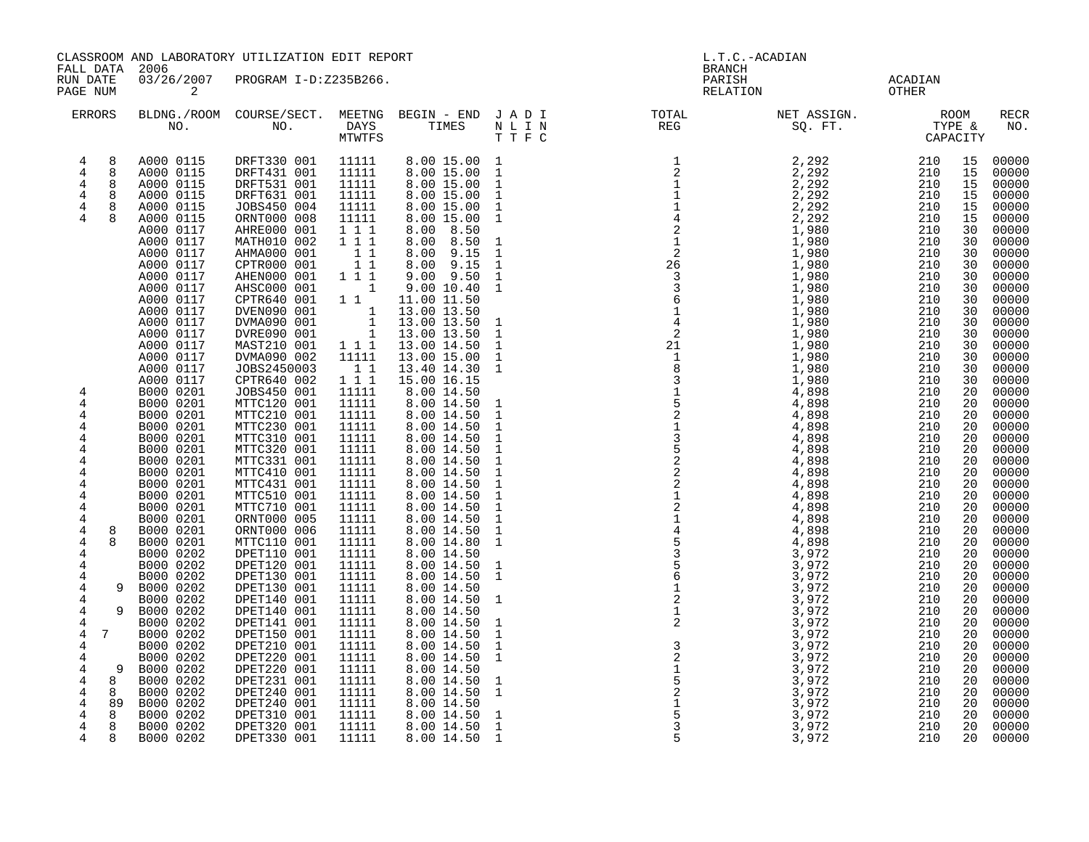| FALL DATA                                                                          | CLASSROOM AND LABORATORY UTILIZATION EDIT REPORT<br>2006                                                          |                                                                                                                                     |                                                                                                                                                                 |                                                                                                                                    |                                                                                                                              | L.T.C.-ACADIAN<br><b>BRANCH</b>                                                                          |                                                                                                                                                                                                                                                                                                                                                                                  |                                               |                                                                                                                                         |  |  |
|------------------------------------------------------------------------------------|-------------------------------------------------------------------------------------------------------------------|-------------------------------------------------------------------------------------------------------------------------------------|-----------------------------------------------------------------------------------------------------------------------------------------------------------------|------------------------------------------------------------------------------------------------------------------------------------|------------------------------------------------------------------------------------------------------------------------------|----------------------------------------------------------------------------------------------------------|----------------------------------------------------------------------------------------------------------------------------------------------------------------------------------------------------------------------------------------------------------------------------------------------------------------------------------------------------------------------------------|-----------------------------------------------|-----------------------------------------------------------------------------------------------------------------------------------------|--|--|
| RUN DATE<br>PAGE NUM                                                               | 03/26/2007<br>2                                                                                                   | PROGRAM I-D:Z235B266.                                                                                                               |                                                                                                                                                                 |                                                                                                                                    |                                                                                                                              |                                                                                                          | PARISH<br>RELATION                                                                                                                                                                                                                                                                                                                                                               | ACADIAN<br>OTHER                              |                                                                                                                                         |  |  |
| <b>ERRORS</b>                                                                      |                                                                                                                   | BLDNG./ROOM COURSE/SECT. MEETNG BEGIN – END J A D I TOTAL TOTAL DAYS TIMES N L I N REG REG REG                                      | MTWTFS                                                                                                                                                          |                                                                                                                                    | TTFC                                                                                                                         |                                                                                                          | NET ASSIGN.<br>SQ. FT. TYPE &<br>CAPACITY                                                                                                                                                                                                                                                                                                                                        |                                               | RECR<br>NO.                                                                                                                             |  |  |
| 8<br>4<br>$\overline{4}$<br>8<br>4<br>8<br>$\overline{4}$<br>8<br>4<br>8<br>4<br>8 | A000 0115<br>A000 0115<br>A000 0115<br>A000 0115<br>A000 0115<br>A000 0115<br>A000 0117                           | DRFT330 001<br>DRFT431 001<br>DRFT531 001<br>DRFT631 001<br>JOBS450 004<br>ORNT000 008<br>AHRE000 001                               | 11111<br>11111<br>11111<br>11111<br>11111<br>11111<br>111                                                                                                       | 8.00 15.00 1<br>8.00 15.00<br>8.00 15.00<br>8.00 15.00<br>8.00 15.00<br>8.00 15.00<br>8.00 8.50                                    | $\mathbf{1}$<br>$\mathbf{1}$<br>$\mathbf 1$<br>$\mathbf{1}$<br>$\mathbf{1}$                                                  |                                                                                                          | 2,292<br>2,292<br>2,292<br>2,292<br>2,292<br>1,980                                                                                                                                                                                                                                                                                                                               |                                               | 15<br>00000<br>15<br>00000<br>00000<br>15<br>00000<br>15<br>15<br>15<br>00000<br>30                                                     |  |  |
|                                                                                    | A000 0117<br>A000 0117<br>A000 0117<br>A000 0117<br>A000 0117<br>A000 0117<br>A000 0117<br>A000 0117<br>A000 0117 | MATH010 002<br>AHMA000 001<br>CPTR000 001<br>AHEN000 001<br>AHSC000 001<br>CPTR640 001<br>DVEN090 001<br>DVMA090 001<br>DVRE090 001 | 111<br>$\begin{array}{rr} & 1 & 1 \\ & 1 & 1 \end{array}$<br>1 1 1<br>$\overline{\mathbf{1}}$<br>$1\quad1$<br>$\begin{array}{c}\n1 \\ 1 \\ 1 \\ 1\n\end{array}$ | 8.00 8.50<br>8.00 9.15<br>$8.00$ $9.15$<br>$9.00$ $9.50$<br>9.00 10.40<br>11.00 11.50<br>13.00 13.50<br>13.00 13.50<br>13.00 13.50 | 1<br>$\mathbf{1}$<br>$\mathbf{1}$<br>$\mathbf{1}$<br>$\mathbf{1}$<br>$\mathbf{1}$<br>$\mathbf{1}$                            |                                                                                                          | 2, 292<br>2, 292<br>2, 292<br>2, 292<br>2, 292<br>2, 292<br>2, 292<br>2, 210<br>210<br>210<br>210<br>210<br>1, 980<br>1, 980<br>1, 980<br>1, 980<br>1, 980<br>1, 980<br>1, 980<br>1, 980<br>1, 980<br>1, 980<br>1, 980<br>1, 980<br>1, 980<br>210<br>210<br>210<br>210<br>210<br>210<br>210<br><br>1,980<br>1,980<br>1,980<br>1,980<br>1,980<br>1,980<br>1,980<br>1,980<br>1,980 |                                               | 00000<br>30<br>00000<br>30<br>00000<br>30<br>00000<br>30<br>00000<br>30<br>$00000$<br>$00000$<br>30<br>30<br>00000<br>30<br>00000<br>30 |  |  |
| 4<br>4<br>4<br>4                                                                   | A000 0117<br>A000 0117<br>A000 0117<br>A000 0117<br>B000 0201<br>B000 0201<br>B000 0201<br>B000 0201              | MAST210 001<br>DVMA090 002<br>JOBS2450003<br>CPTR640 002<br>JOBS450 001<br>MTTC120 001<br>MTTC210 001<br>MTTC230 001                | 1 1 1<br>11111<br>$1\quad1$<br>111<br>11111<br>11111<br>11111<br>11111                                                                                          | 13.00 14.50<br>13.00 15.00<br>13.40 14.30<br>15.00 16.15<br>8.00 14.50<br>8.00 14.50<br>8.00 14.50<br>8.00 14.50                   | $\mathbf{1}$<br>$\mathbf{1}$<br>$\mathbf{1}$<br>$\mathbf{1}$<br>$\mathbf{1}$<br>$\mathbf{1}$                                 |                                                                                                          | 1,980<br>1,980<br>1,980<br>1,980<br>4,898                                                                                                                                                                                                                                                                                                                                        |                                               | 00000<br>30<br>00000<br>30<br>00000<br>30<br>00000<br>30<br>$00000$<br>00000<br>20<br>20<br>00000<br>20<br>00000<br>20                  |  |  |
| 4<br>4<br>4<br>4<br>4<br>4<br>4<br>4                                               | B000 0201<br>B000 0201<br>B000 0201<br>B000 0201<br>B000 0201<br>B000 0201<br>B000 0201<br>B000 0201              | MTTC310 001<br>MTTC320 001<br>MTTC331 001<br>MTTC410 001<br>MTTC431 001<br>MTTC510 001<br>MTTC710 001<br>ORNT000 005                | 11111<br>11111<br>11111<br>11111<br>11111<br>11111<br>11111<br>11111                                                                                            | 8.00 14.50<br>8.00 14.50<br>8.00 14.50<br>8.00 14.50<br>8.00 14.50<br>8.00 14.50<br>8.00 14.50<br>8.00 14.50                       | $\mathbf{1}$<br>$\mathbf{1}$<br>$\mathbf{1}$<br>$\mathbf{1}$<br>$\mathbf{1}$<br>$\mathbf{1}$<br>$\mathbf{1}$<br>$\mathbf{1}$ |                                                                                                          | 4,898<br>4,898<br>4,898<br>4,898<br>4,898                                                                                                                                                                                                                                                                                                                                        | 210<br>210<br>210<br>210<br>210               | $00000$<br>00000<br>00000<br>20<br>20<br>20<br>00000<br>20<br>00000<br>20<br>00000<br>20<br>00000<br>20<br>00000<br>20                  |  |  |
| 4<br>8<br>$\overline{4}$<br>4<br>4<br>4<br>4<br>9                                  | B000 0201<br>B000 0201<br>B000 0202<br>B000 0202<br>B000 0202<br>B000 0202                                        | ORNT000 006<br>MTTC110 001<br>DPET110 001<br>DPET120 001<br>DPET130 001<br>DPET130 001                                              | 11111<br>11111<br>11111<br>11111<br>11111<br>11111                                                                                                              | 8.00 14.50<br>8.00 14.80<br>8.00 14.50<br>8.00 14.50<br>8.00 14.50<br>8.00 14.50                                                   | $\mathbf{1}$<br>$\mathbf{1}$<br>$\mathbf{1}$<br>1                                                                            |                                                                                                          | 4,898<br>4,898<br>3,972<br>3,972<br>3,972<br>3,972                                                                                                                                                                                                                                                                                                                               | 210<br>210<br>210<br>210<br>210<br>210        | 00000<br>20<br>00000<br>20<br>00000<br>20<br>00000<br>20<br>00000<br>20<br>20                                                           |  |  |
| 4<br>4<br>9<br>4<br>4<br>7<br>4<br>4<br>4<br>9                                     | B000 0202<br>B000 0202<br>B000 0202<br>B000 0202<br>B000 0202<br>B000 0202<br>B000 0202                           | DPET140 001<br>DPET140 001<br>DPET141 001<br>DPET150 001<br>DPET210 001<br>DPET220 001<br>DPET220 001                               | 11111<br>11111<br>11111<br>11111<br>11111<br>11111<br>11111                                                                                                     | 8.00 14.50<br>8.00 14.50<br>8.00 14.50<br>8.00 14.50<br>8.00 14.50<br>8.00 14.50<br>8.00 14.50                                     | $\mathbf{1}$<br>$\mathbf{1}$<br>$\mathbf{1}$<br>$\mathbf{1}$<br>$\mathbf{1}$                                                 |                                                                                                          | 3,972<br>3,972<br>3,972<br>3,972<br>3,972<br>3,972<br>3,972                                                                                                                                                                                                                                                                                                                      | 210<br>210<br>210<br>210<br>210<br>210<br>210 | 20<br>00000<br>20<br>00000<br>00000<br>20<br>20<br>00000<br>00000<br>20<br>20<br>00000<br>20                                            |  |  |
| 8<br>4<br>4<br>8<br>4<br>89<br>4<br>8<br>4<br>8<br>8<br>4                          | B000 0202<br>B000 0202<br>B000 0202<br>B000 0202<br>B000 0202<br>B000 0202                                        | DPET231 001<br>DPET240 001<br>DPET240 001<br>DPET310 001<br>DPET320 001<br>DPET330 001                                              | 11111<br>11111<br>11111<br>11111<br>11111<br>11111                                                                                                              | 8.00 14.50<br>8.00 14.50<br>8.00 14.50<br>8.00 14.50<br>8.00 14.50<br>8.00 14.50                                                   | $\mathbf{1}$<br>1<br>$\mathbf{1}$<br>$1\,$<br>$\mathbf{1}$                                                                   | $\frac{3}{2}$<br>$\frac{2}{1}$<br>$\frac{5}{2}$<br>$\frac{2}{1}$<br>$\frac{1}{5}$<br>$\overline{3}$<br>5 | 3,972<br>3,972<br>3,972<br>3,972<br>3,972<br>3,972                                                                                                                                                                                                                                                                                                                               | 210<br>210<br>210<br>210<br>210<br>210        | 00000<br>20<br>$00000$<br>00000<br>20<br>20<br>00000<br>20<br>00000<br>20<br>00000<br>20                                                |  |  |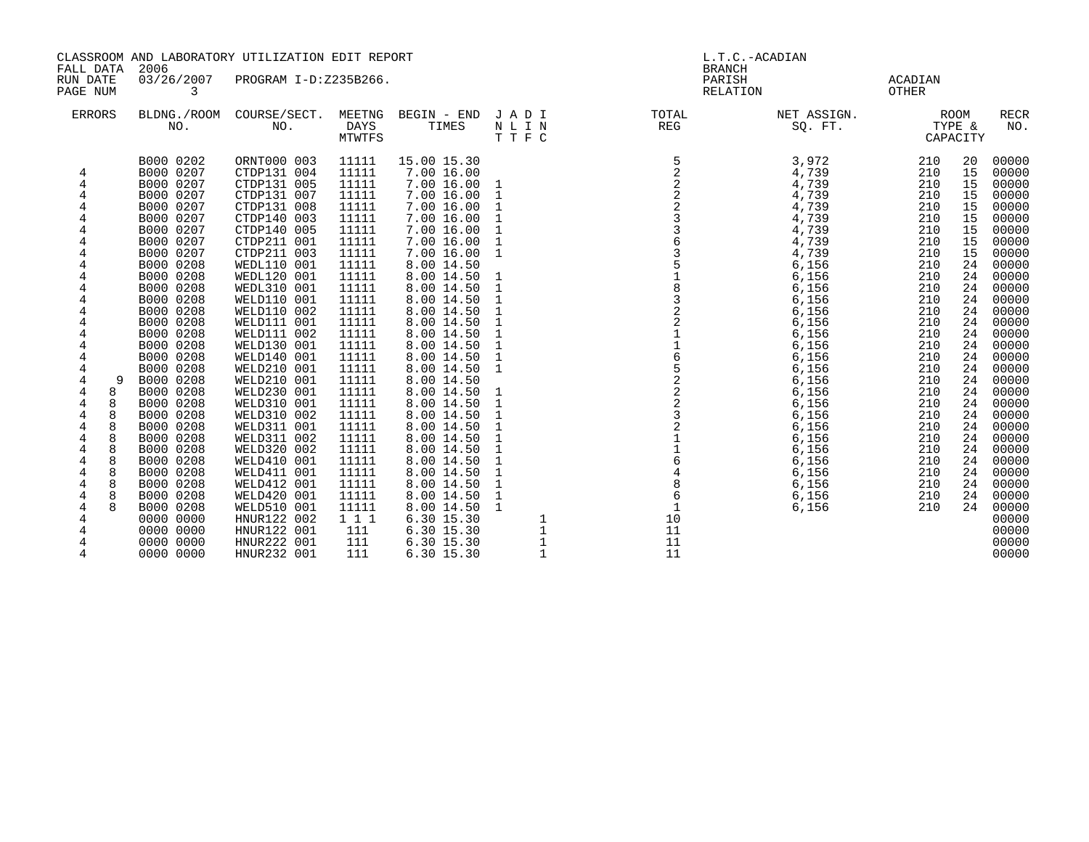| CLASSROOM AND LABORATORY UTILIZATION EDIT REPORT<br>2006<br>FALL DATA<br>03/26/2007<br>RUN DATE<br>PROGRAM I-D:Z235B266.<br>PAGE NUM<br>3                    |                                                                                                                                                                                                                                                                                                                                                                                                                                                                     |                                                                                                                                                                                                                                                                                                                                                                                                                                                                                                                                                         |                                                                                                                                                                                                                                                                                                                   |                                                                                                                                                                                                                                                                                                                                                                                                                                                                                                         | L.T.C.-ACADIAN<br><b>BRANCH</b><br>PARISH<br>RELATION                                                                                                                                                                                                                                                                                                             | ACADIAN<br>OTHER                                                                                                                                                                 |                                                                                                                                                                                                                                                                                     |                                                                                                                                                                                                                       |                                                                                                                                                                                        |                                                                                                                                                                                                                                                                                                                         |
|--------------------------------------------------------------------------------------------------------------------------------------------------------------|---------------------------------------------------------------------------------------------------------------------------------------------------------------------------------------------------------------------------------------------------------------------------------------------------------------------------------------------------------------------------------------------------------------------------------------------------------------------|---------------------------------------------------------------------------------------------------------------------------------------------------------------------------------------------------------------------------------------------------------------------------------------------------------------------------------------------------------------------------------------------------------------------------------------------------------------------------------------------------------------------------------------------------------|-------------------------------------------------------------------------------------------------------------------------------------------------------------------------------------------------------------------------------------------------------------------------------------------------------------------|---------------------------------------------------------------------------------------------------------------------------------------------------------------------------------------------------------------------------------------------------------------------------------------------------------------------------------------------------------------------------------------------------------------------------------------------------------------------------------------------------------|-------------------------------------------------------------------------------------------------------------------------------------------------------------------------------------------------------------------------------------------------------------------------------------------------------------------------------------------------------------------|----------------------------------------------------------------------------------------------------------------------------------------------------------------------------------|-------------------------------------------------------------------------------------------------------------------------------------------------------------------------------------------------------------------------------------------------------------------------------------|-----------------------------------------------------------------------------------------------------------------------------------------------------------------------------------------------------------------------|----------------------------------------------------------------------------------------------------------------------------------------------------------------------------------------|-------------------------------------------------------------------------------------------------------------------------------------------------------------------------------------------------------------------------------------------------------------------------------------------------------------------------|
| <b>ERRORS</b>                                                                                                                                                | BLDNG./ROOM<br>NO.                                                                                                                                                                                                                                                                                                                                                                                                                                                  | COURSE/SECT.<br>NO.                                                                                                                                                                                                                                                                                                                                                                                                                                                                                                                                     | MEETNG<br><b>DAYS</b><br>MTWTFS                                                                                                                                                                                                                                                                                   | BEGIN - END JADI<br>TIMES                                                                                                                                                                                                                                                                                                                                                                                                                                                                               | NLIN<br>TTFC                                                                                                                                                                                                                                                                                                                                                      | TOTAL<br>REG                                                                                                                                                                     | NET ASSIGN.<br>SQ. FT.                                                                                                                                                                                                                                                              | CAPACITY                                                                                                                                                                                                              | ROOM<br>TYPE &                                                                                                                                                                         | <b>RECR</b><br>NO.                                                                                                                                                                                                                                                                                                      |
| 4<br>4<br>4<br>4<br>4<br>4<br>9<br>4<br>8<br>4<br>8<br>4<br>8<br>4<br>8<br>8<br>4<br>8<br>4<br>4<br>8<br>4<br>8<br>8<br>4<br>4<br>8<br>4<br>4<br>4<br>4<br>4 | B000 0202<br>B000 0207<br>B000 0207<br>B000 0207<br>B000 0207<br>B000 0207<br>B000 0207<br>B000 0207<br>B000 0207<br>B000 0208<br>B000 0208<br>B000 0208<br>B000 0208<br>B000 0208<br>B000 0208<br>B000 0208<br>B000 0208<br>B000 0208<br>B000 0208<br>B000 0208<br>B000 0208<br>B000 0208<br>B000 0208<br>B000 0208<br>B000 0208<br>B000 0208<br>B000 0208<br>B000 0208<br>B000 0208<br>B000 0208<br>B000 0208<br>0000 0000<br>0000 0000<br>0000 0000<br>0000 0000 | ORNT000 003<br>CTDP131 004<br>CTDP131 005<br>CTDP131 007<br>CTDP131 008<br>CTDP140 003<br>CTDP140 005<br>CTDP211 001<br>CTDP211 003<br>WEDL110 001<br>WEDL120 001<br>WEDL310 001<br><b>WELD110 001</b><br>WELD110 002<br>WELD111 001<br>WELD111 002<br>WELD130 001<br>WELD140 001<br>WELD210 001<br>WELD210 001<br>WELD230 001<br>WELD310 001<br>WELD310 002<br>WELD311 001<br>WELD311 002<br>WELD320 002<br>WELD410 001<br>WELD411 001<br>WELD412 001<br>WELD420 001<br><b>WELD510 001</b><br>HNUR122 002<br>HNUR122 001<br>HNUR222 001<br>HNUR232 001 | 11111<br>11111<br>11111<br>11111<br>11111<br>11111<br>11111<br>11111<br>11111<br>11111<br>11111<br>11111<br>11111<br>11111<br>11111<br>11111<br>11111<br>11111<br>11111<br>11111<br>11111<br>11111<br>11111<br>11111<br>11111<br>11111<br>11111<br>11111<br>11111<br>11111<br>11111<br>1 1 1<br>111<br>111<br>111 | 15.00 15.30<br>7.00 16.00<br>7.00 16.00<br>7.00 16.00<br>7.00 16.00<br>7.00 16.00<br>7.00 16.00<br>7.00 16.00<br>7.00 16.00<br>8.00 14.50<br>8.00 14.50<br>8.00 14.50<br>8.00 14.50<br>8.00 14.50<br>8.00 14.50<br>8.00 14.50<br>8.00 14.50<br>8.00 14.50<br>8.00 14.50<br>8.00 14.50<br>8.00 14.50<br>8.00 14.50<br>8.00 14.50<br>8.00 14.50<br>8.00 14.50<br>8.00 14.50<br>8.00 14.50<br>8.00 14.50<br>8.00 14.50<br>8.00 14.50<br>8.00 14.50<br>6.30 15.30<br>6.30 15.30<br>6.30 15.30<br>6.30 15.30 | 1<br>$\mathbf{1}$<br>$\mathbf{1}$<br>$\mathbf{1}$<br>$\mathbf 1$<br>$\mathbf{1}$<br>1<br>1<br>1<br>$\mathbf{1}$<br>$\mathbf{1}$<br>$\mathbf 1$<br>$\mathbf{1}$<br>$\mathbf{1}$<br>$\mathbf{1}$<br>1<br>$\mathbf{1}$<br>1<br>$\mathbf{1}$<br>$\mathbf{1}$<br>1<br>$\mathbf{1}$<br>$\mathbf{1}$<br>$\mathbf 1$<br>$\mathbf{1}$<br>$\mathbf{1}$<br>1<br>$\mathbf{1}$ | $\begin{array}{r} 5 \\ 2 \\ 2 \\ 2 \\ 3 \\ 3 \\ 3 \\ 4 \\ 5 \\ 1 \\ 5 \\ 1 \\ 8 \\ 3 \\ 2 \\ \end{array}$<br>35183221165222321164<br>$\overline{8}$<br>6<br>10<br>11<br>11<br>11 | 3,972<br>4,739<br>4,739<br>4,739<br>4,739<br>4,739<br>4,739<br>4,739<br>4,739<br>6,156<br>6,156<br>6,156<br>6,156<br>6,156<br>6,156<br>6,156<br>6,156<br>6,156<br>6,156<br>6,156<br>6,156<br>6,156<br>6,156<br>6,156<br>6,156<br>6,156<br>6,156<br>6,156<br>6,156<br>6,156<br>6,156 | 210<br>210<br>210<br>210<br>210<br>210<br>210<br>210<br>210<br>210<br>210<br>210<br>210<br>210<br>210<br>210<br>210<br>210<br>210<br>210<br>210<br>210<br>210<br>210<br>210<br>210<br>210<br>210<br>210<br>210<br>210 | 20<br>15<br>15<br>15<br>15<br>15<br>15<br>15<br>15<br>24<br>24<br>24<br>24<br>24<br>24<br>24<br>24<br>24<br>24<br>24<br>24<br>24<br>24<br>24<br>24<br>24<br>24<br>24<br>24<br>24<br>24 | 00000<br>00000<br>00000<br>00000<br>00000<br>00000<br>00000<br>00000<br>00000<br>00000<br>00000<br>00000<br>00000<br>00000<br>00000<br>00000<br>00000<br>00000<br>00000<br>00000<br>00000<br>00000<br>00000<br>00000<br>00000<br>00000<br>00000<br>00000<br>00000<br>00000<br>00000<br>00000<br>00000<br>00000<br>00000 |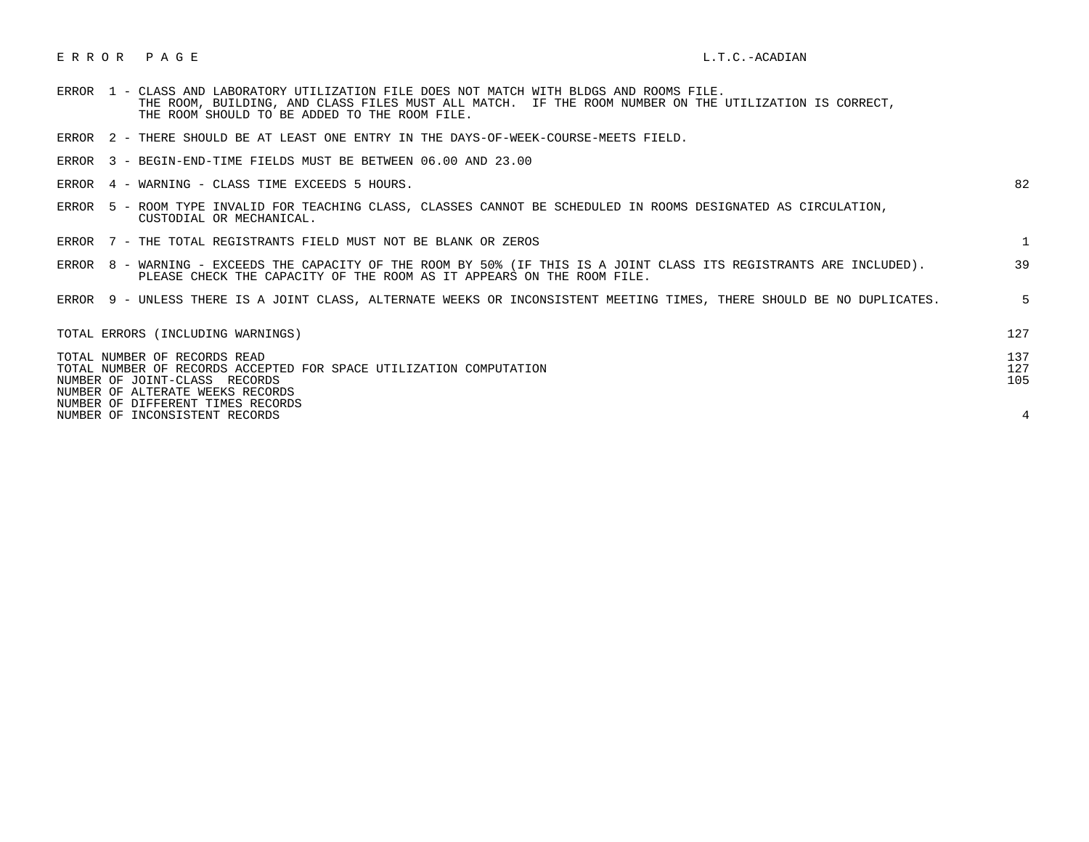## E R R O R P A G E L.T.C.-ACADIAN

| <b>ERROR</b> | $\overline{\phantom{0}}$ |  |                                               |  | CLASS AND LABORATORY UTILIZATION FILE DOES NOT MATCH WITH BLDGS AND ROOMS FILE. |                                                                                               |  |
|--------------|--------------------------|--|-----------------------------------------------|--|---------------------------------------------------------------------------------|-----------------------------------------------------------------------------------------------|--|
|              |                          |  |                                               |  |                                                                                 | . BUILDING. AND CLASS FILES MUST ALL MATCH.  IF THE ROOM NUMBER ON THE UTILIZATION IS CORRECT |  |
|              |                          |  | THE ROOM SHOULD TO BE ADDED TO THE ROOM FILE. |  |                                                                                 |                                                                                               |  |

ERROR 2 - THERE SHOULD BE AT LEAST ONE ENTRY IN THE DAYS-OF-WEEK-COURSE-MEETS FIELD.

ERROR 3 - BEGIN-END-TIME FIELDS MUST BE BETWEEN 06.00 AND 23.00

|  |  | ERROR 4 - WARNING - CLASS TIME EXCEEDS 5 HOURS. |  |  |
|--|--|-------------------------------------------------|--|--|
|--|--|-------------------------------------------------|--|--|

| ×<br>۰. |  |
|---------|--|
|         |  |

- ERROR 5 ROOM TYPE INVALID FOR TEACHING CLASS, CLASSES CANNOT BE SCHEDULED IN ROOMS DESIGNATED AS CIRCULATION, CUSTODIAL OR MECHANICAL.
- ERROR 7 THE TOTAL REGISTRANTS FIELD MUST NOT BE BLANK OR ZEROS 1
- ERROR 8 WARNING EXCEEDS THE CAPACITY OF THE ROOM BY 50% (IF THIS IS A JOINT CLASS ITS REGISTRANTS ARE INCLUDED). 39 PLEASE CHECK THE CAPACITY OF THE ROOM AS IT APPEARS ON THE ROOM FILE.

ERROR 9 - UNLESS THERE IS A JOINT CLASS, ALTERNATE WEEKS OR INCONSISTENT MEETING TIMES, THERE SHOULD BE NO DUPLICATES. 5

| TOTAL ERRORS (INCLUDING WARNINGS)                                                                  | 127        |
|----------------------------------------------------------------------------------------------------|------------|
| TOTAL NUMBER OF RECORDS READ<br>TOTAL NUMBER OF RECORDS ACCEPTED FOR SPACE UTILIZATION COMPUTATION | 137<br>127 |
| NUMBER OF JOINT-CLASS RECORDS                                                                      | 105        |
| NUMBER OF ALTERATE WEEKS RECORDS                                                                   |            |
| NUMBER OF DIFFERENT TIMES RECORDS                                                                  |            |
| NUMBER OF INCONSISTENT RECORDS                                                                     |            |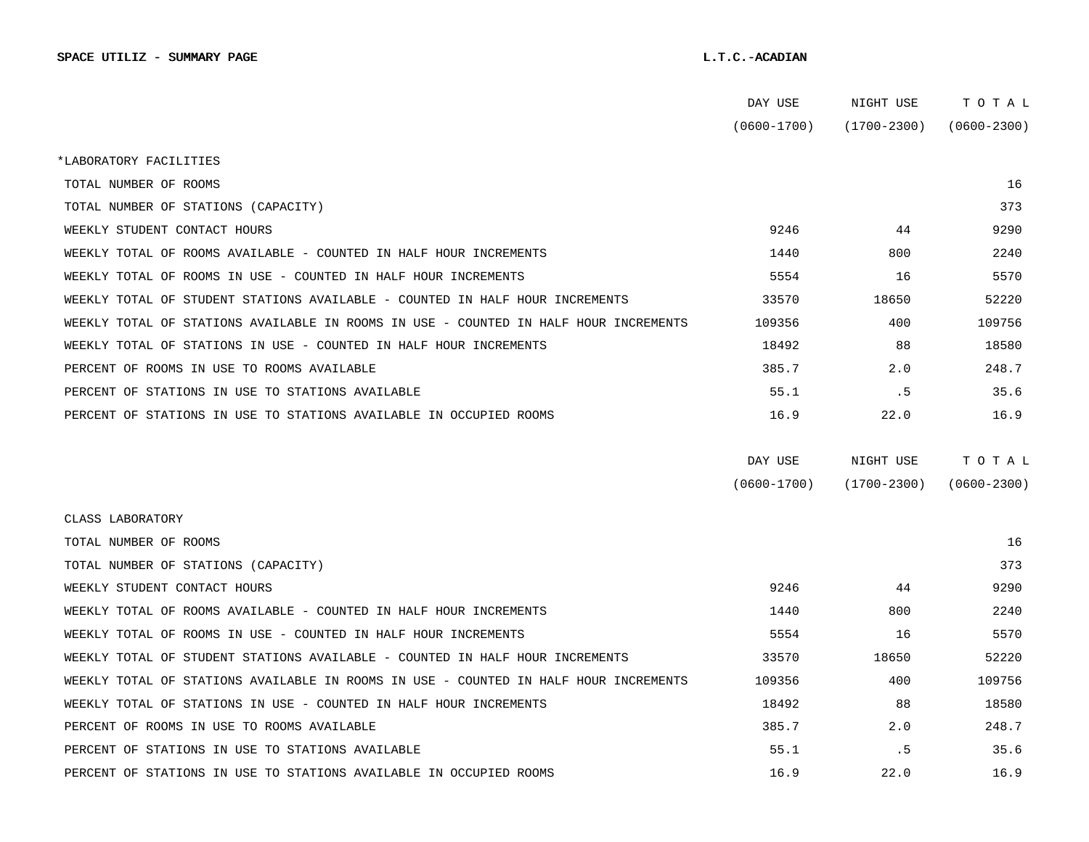|                                                                                      | DAY USE         | NIGHT USE       | тотаь           |  |
|--------------------------------------------------------------------------------------|-----------------|-----------------|-----------------|--|
|                                                                                      | $(0600 - 1700)$ | $(1700 - 2300)$ | $(0600 - 2300)$ |  |
| *LABORATORY FACILITIES                                                               |                 |                 |                 |  |
| TOTAL NUMBER OF ROOMS                                                                |                 |                 | 16              |  |
| TOTAL NUMBER OF STATIONS (CAPACITY)                                                  |                 |                 | 373             |  |
| WEEKLY STUDENT CONTACT HOURS                                                         | 9246            | 44              | 9290            |  |
| WEEKLY TOTAL OF ROOMS AVAILABLE - COUNTED IN HALF HOUR INCREMENTS                    | 1440            | 800             | 2240            |  |
| WEEKLY TOTAL OF ROOMS IN USE - COUNTED IN HALF HOUR INCREMENTS                       | 5554            | 16              | 5570            |  |
| WEEKLY TOTAL OF STUDENT STATIONS AVAILABLE - COUNTED IN HALF HOUR INCREMENTS         | 33570           | 18650           | 52220           |  |
| WEEKLY TOTAL OF STATIONS AVAILABLE IN ROOMS IN USE - COUNTED IN HALF HOUR INCREMENTS | 109356          | 400             | 109756          |  |
| WEEKLY TOTAL OF STATIONS IN USE - COUNTED IN HALF HOUR INCREMENTS                    | 18492           | 88              | 18580           |  |
| PERCENT OF ROOMS IN USE TO ROOMS AVAILABLE                                           | 385.7           | 2.0             | 248.7           |  |
| PERCENT OF STATIONS IN USE TO STATIONS AVAILABLE                                     | 55.1            | . 5             | 35.6            |  |
| PERCENT OF STATIONS IN USE TO STATIONS AVAILABLE IN OCCUPIED ROOMS                   | 16.9            | 22.0            | 16.9            |  |
|                                                                                      |                 |                 |                 |  |
|                                                                                      | DAY USE         | NIGHT USE       | TOTAL           |  |
|                                                                                      | $(0600 - 1700)$ | $(1700 - 2300)$ | $(0600 - 2300)$ |  |
| CLASS LABORATORY                                                                     |                 |                 |                 |  |
| TOTAL NUMBER OF ROOMS                                                                |                 |                 | 16              |  |
| TOTAL NUMBER OF STATIONS (CAPACITY)                                                  |                 |                 | 373             |  |
| WEEKLY STUDENT CONTACT HOURS                                                         | 9246            | 44              | 9290            |  |
| WEEKLY TOTAL OF ROOMS AVAILABLE - COUNTED IN HALF HOUR INCREMENTS                    | 1440            | 800             | 2240            |  |
| WEEKLY TOTAL OF ROOMS IN USE - COUNTED IN HALF HOUR INCREMENTS                       | 5554            | 16              | 5570            |  |
| WEEKLY TOTAL OF STUDENT STATIONS AVAILABLE - COUNTED IN HALF HOUR INCREMENTS         | 33570           | 18650           | 52220           |  |
| WEEKLY TOTAL OF STATIONS AVAILABLE IN ROOMS IN USE - COUNTED IN HALF HOUR INCREMENTS | 109356          | 400             | 109756          |  |
| WEEKLY TOTAL OF STATIONS IN USE - COUNTED IN HALF HOUR INCREMENTS                    | 18492           | 88              | 18580           |  |
| PERCENT OF ROOMS IN USE TO ROOMS AVAILABLE                                           | 385.7           | 2.0             | 248.7           |  |
| PERCENT OF STATIONS IN USE TO STATIONS AVAILABLE                                     | 55.1            | . 5             | 35.6            |  |
| PERCENT OF STATIONS IN USE TO STATIONS AVAILABLE IN OCCUPIED ROOMS                   | 16.9            | 22.0            | 16.9            |  |